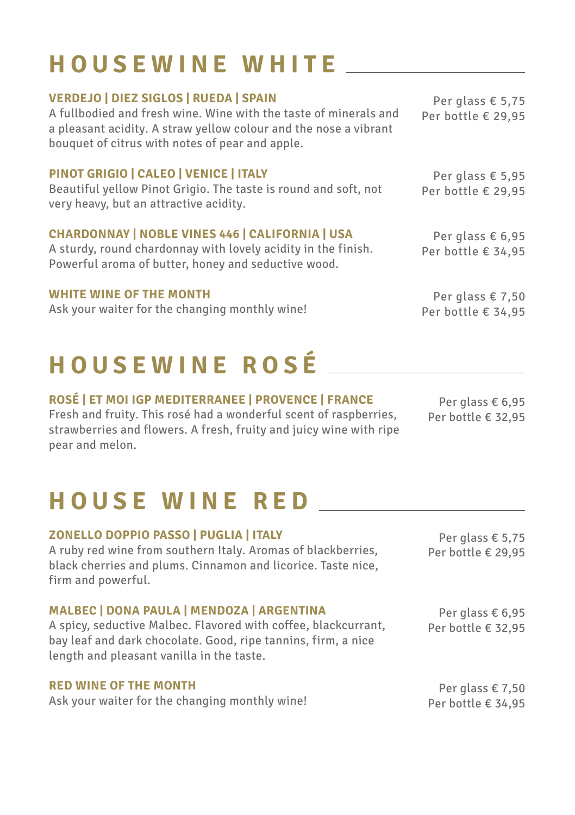## **HOUSEWINE WHITE**

#### Per glass € 5,75 Per bottle € 29,95 Per glass € 5,95 Per bottle € 29,95 Per glass € 6,95 Per bottle € 34,95 Per glass € 7,50 Per bottle € 34,95 **VERDEJO | DIEZ SIGLOS | RUEDA | SPAIN** A fullbodied and fresh wine. Wine with the taste of minerals and a pleasant acidity. A straw yellow colour and the nose a vibrant bouquet of citrus with notes of pear and apple. **PINOT GRIGIO | CALEO | VENICE | ITALY** Beautiful yellow Pinot Grigio. The taste is round and soft, not very heavy, but an attractive acidity. **CHARDONNAY | NOBLE VINES 446 | CALIFORNIA | USA** A sturdy, round chardonnay with lovely acidity in the finish. Powerful aroma of butter, honey and seductive wood. **WHITE WINE OF THE MONTH** Ask your waiter for the changing monthly wine!

## **HOUSEWINE ROSÉ**

#### **ROSÉ | ET MOI IGP MEDITERRANEE | PROVENCE | FRANCE** Fresh and fruity. This rosé had a wonderful scent of raspberries, strawberries and flowers. A fresh, fruity and juicy wine with ripe pear and melon.

Per glass € 6,95 Per bottle € 32,95

Per glass € 6,95 Per bottle € 32,95

## **HOUSE WINE RED**

## **ZONELLO DOPPIO PASSO | PUGLIA | ITALY**

Per glass € 5,75 Per bottle € 29,95 A ruby red wine from southern Italy. Aromas of blackberries, black cherries and plums. Cinnamon and licorice. Taste nice, firm and powerful.

## **MALBEC | DONA PAULA | MENDOZA | ARGENTINA**

A spicy, seductive Malbec. Flavored with coffee, blackcurrant, bay leaf and dark chocolate. Good, ripe tannins, firm, a nice length and pleasant vanilla in the taste.

#### Per glass € 7,50 Per bottle € 34,95 **RED WINE OF THE MONTH** Ask your waiter for the changing monthly wine!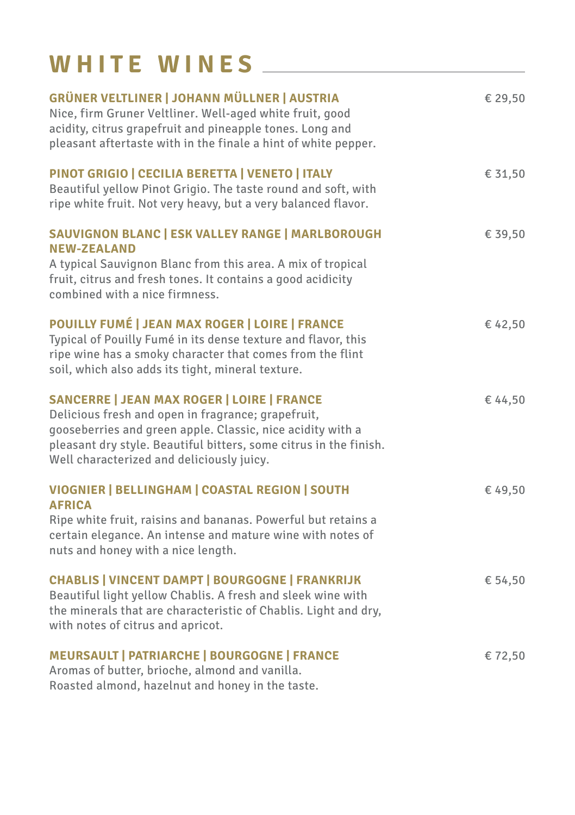| WHITE WINES                                                                                                                                                                                                                                                                      |         |
|----------------------------------------------------------------------------------------------------------------------------------------------------------------------------------------------------------------------------------------------------------------------------------|---------|
| <b>GRÜNER VELTLINER   JOHANN MÜLLNER   AUSTRIA</b><br>Nice, firm Gruner Veltliner. Well-aged white fruit, good<br>acidity, citrus grapefruit and pineapple tones. Long and<br>pleasant aftertaste with in the finale a hint of white pepper.                                     | € 29,50 |
| PINOT GRIGIO   CECILIA BERETTA   VENETO   ITALY<br>Beautiful yellow Pinot Grigio. The taste round and soft, with<br>ripe white fruit. Not very heavy, but a very balanced flavor.                                                                                                | € 31,50 |
| SAUVIGNON BLANC   ESK VALLEY RANGE   MARLBOROUGH<br><b>NEW-ZEALAND</b><br>A typical Sauvignon Blanc from this area. A mix of tropical<br>fruit, citrus and fresh tones. It contains a good acidicity<br>combined with a nice firmness.                                           | € 39,50 |
| <b>POUILLY FUMÉ   JEAN MAX ROGER   LOIRE   FRANCE</b><br>Typical of Pouilly Fumé in its dense texture and flavor, this<br>ripe wine has a smoky character that comes from the flint<br>soil, which also adds its tight, mineral texture.                                         | €42,50  |
| SANCERRE   JEAN MAX ROGER   LOIRE   FRANCE<br>Delicious fresh and open in fragrance; grapefruit,<br>gooseberries and green apple. Classic, nice acidity with a<br>pleasant dry style. Beautiful bitters, some citrus in the finish.<br>Well characterized and deliciously juicy. | € 44,50 |
| VIOGNIER   BELLINGHAM   COASTAL REGION   SOUTH<br><b>AFRICA</b><br>Ripe white fruit, raisins and bananas. Powerful but retains a<br>certain elegance. An intense and mature wine with notes of<br>nuts and honey with a nice length.                                             | €49,50  |
| CHABLIS   VINCENT DAMPT   BOURGOGNE   FRANKRIJK<br>Beautiful light yellow Chablis. A fresh and sleek wine with<br>the minerals that are characteristic of Chablis. Light and dry,<br>with notes of citrus and apricot.                                                           | € 54,50 |
| <b>MEURSAULT   PATRIARCHE   BOURGOGNE   FRANCE</b><br>Aromas of butter, brioche, almond and vanilla.<br>Roasted almond, hazelnut and honey in the taste.                                                                                                                         | €72,50  |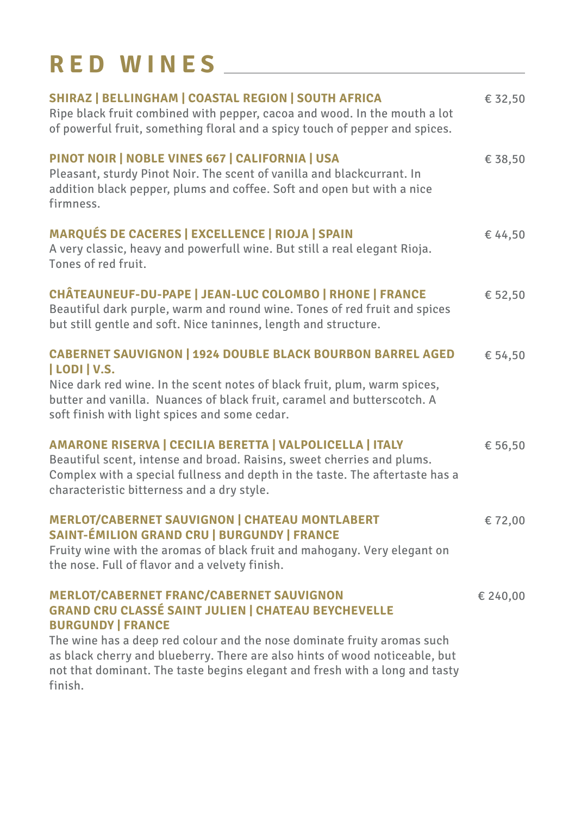# **RED WINES**

| SHIRAZ   BELLINGHAM   COASTAL REGION   SOUTH AFRICA<br>Ripe black fruit combined with pepper, cacoa and wood. In the mouth a lot<br>of powerful fruit, something floral and a spicy touch of pepper and spices.                                                                              | € 32,50  |
|----------------------------------------------------------------------------------------------------------------------------------------------------------------------------------------------------------------------------------------------------------------------------------------------|----------|
| PINOT NOIR   NOBLE VINES 667   CALIFORNIA   USA<br>Pleasant, sturdy Pinot Noir. The scent of vanilla and blackcurrant. In<br>addition black pepper, plums and coffee. Soft and open but with a nice<br>firmness.                                                                             | € 38,50  |
| <b>MARQUÉS DE CACERES   EXCELLENCE   RIOJA   SPAIN</b><br>A very classic, heavy and powerfull wine. But still a real elegant Rioja.<br>Tones of red fruit.                                                                                                                                   | € 44,50  |
| CHÂTEAUNEUF-DU-PAPE   JEAN-LUC COLOMBO   RHONE   FRANCE<br>Beautiful dark purple, warm and round wine. Tones of red fruit and spices<br>but still gentle and soft. Nice taninnes, length and structure.                                                                                      | € 52,50  |
| <b>CABERNET SAUVIGNON   1924 DOUBLE BLACK BOURBON BARREL AGED</b><br>  LODI   V.S.<br>Nice dark red wine. In the scent notes of black fruit, plum, warm spices,<br>butter and vanilla. Nuances of black fruit, caramel and butterscotch. A<br>soft finish with light spices and some cedar.  | € 54,50  |
| AMARONE RISERVA   CECILIA BERETTA   VALPOLICELLA   ITALY<br>Beautiful scent, intense and broad. Raisins, sweet cherries and plums.<br>Complex with a special fullness and depth in the taste. The aftertaste has a<br>characteristic bitterness and a dry style.                             | € 56,50  |
| <b>MERLOT/CABERNET SAUVIGNON   CHATEAU MONTLABERT</b><br><b>SAINT-ÉMILION GRAND CRU   BURGUNDY   FRANCE</b><br>Fruity wine with the aromas of black fruit and mahogany. Very elegant on<br>the nose. Full of flavor and a velvety finish.                                                    | € 72,00  |
| MERLOT/CABERNET FRANC/CABERNET SAUVIGNON<br><b>GRAND CRU CLASSÉ SAINT JULIEN   CHATEAU BEYCHEVELLE</b><br><b>BURGUNDY   FRANCE</b><br>The wine has a deep red colour and the nose dominate fruity aromas such<br>as black cherry and blueberry. There are also hints of wood noticeable, but | € 240,00 |

not that dominant. The taste begins elegant and fresh with a long and tasty finish.